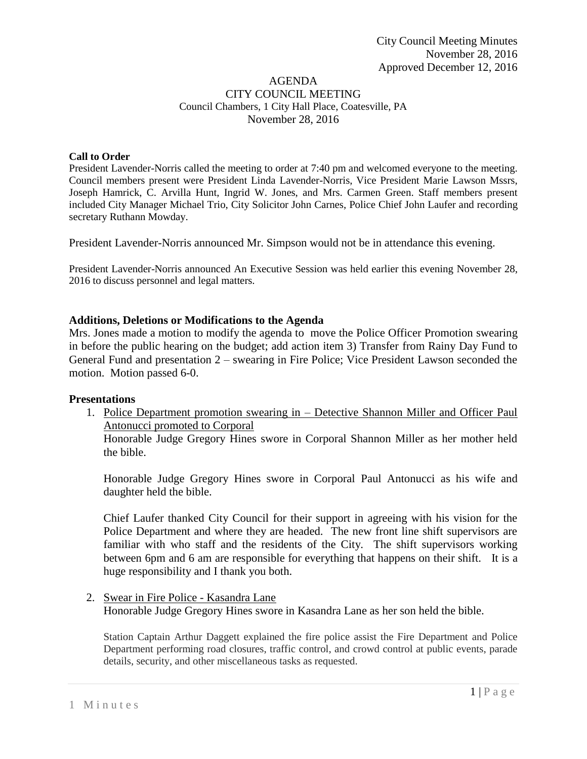#### AGENDA CITY COUNCIL MEETING Council Chambers, 1 City Hall Place, Coatesville, PA November 28, 2016

#### **Call to Order**

President Lavender-Norris called the meeting to order at 7:40 pm and welcomed everyone to the meeting. Council members present were President Linda Lavender-Norris, Vice President Marie Lawson Mssrs, Joseph Hamrick, C. Arvilla Hunt, Ingrid W. Jones, and Mrs. Carmen Green. Staff members present included City Manager Michael Trio, City Solicitor John Carnes, Police Chief John Laufer and recording secretary Ruthann Mowday.

President Lavender-Norris announced Mr. Simpson would not be in attendance this evening.

President Lavender-Norris announced An Executive Session was held earlier this evening November 28, 2016 to discuss personnel and legal matters.

### **Additions, Deletions or Modifications to the Agenda**

Mrs. Jones made a motion to modify the agenda to move the Police Officer Promotion swearing in before the public hearing on the budget; add action item 3) Transfer from Rainy Day Fund to General Fund and presentation 2 – swearing in Fire Police; Vice President Lawson seconded the motion. Motion passed 6-0.

#### **Presentations**

1. Police Department promotion swearing in – Detective Shannon Miller and Officer Paul Antonucci promoted to Corporal

Honorable Judge Gregory Hines swore in Corporal Shannon Miller as her mother held the bible.

Honorable Judge Gregory Hines swore in Corporal Paul Antonucci as his wife and daughter held the bible.

Chief Laufer thanked City Council for their support in agreeing with his vision for the Police Department and where they are headed. The new front line shift supervisors are familiar with who staff and the residents of the City. The shift supervisors working between 6pm and 6 am are responsible for everything that happens on their shift. It is a huge responsibility and I thank you both.

2. Swear in Fire Police - Kasandra Lane Honorable Judge Gregory Hines swore in Kasandra Lane as her son held the bible.

Station Captain Arthur Daggett explained the fire police assist the Fire Department and Police Department performing road closures, traffic control, and crowd control at public events, parade details, security, and other miscellaneous tasks as requested.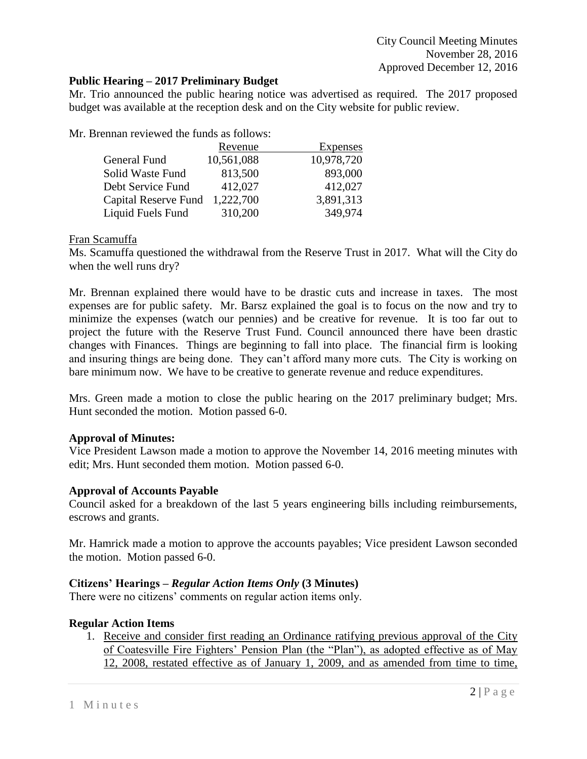# **Public Hearing – 2017 Preliminary Budget**

Mr. Trio announced the public hearing notice was advertised as required. The 2017 proposed budget was available at the reception desk and on the City website for public review.

Mr. Brennan reviewed the funds as follows:

|                      | Revenue    | Expenses   |
|----------------------|------------|------------|
| General Fund         | 10,561,088 | 10,978,720 |
| Solid Waste Fund     | 813,500    | 893,000    |
| Debt Service Fund    | 412,027    | 412,027    |
| Capital Reserve Fund | 1,222,700  | 3,891,313  |
| Liquid Fuels Fund    | 310,200    | 349,974    |

### Fran Scamuffa

Ms. Scamuffa questioned the withdrawal from the Reserve Trust in 2017. What will the City do when the well runs dry?

Mr. Brennan explained there would have to be drastic cuts and increase in taxes. The most expenses are for public safety. Mr. Barsz explained the goal is to focus on the now and try to minimize the expenses (watch our pennies) and be creative for revenue. It is too far out to project the future with the Reserve Trust Fund. Council announced there have been drastic changes with Finances. Things are beginning to fall into place. The financial firm is looking and insuring things are being done. They can't afford many more cuts. The City is working on bare minimum now. We have to be creative to generate revenue and reduce expenditures.

Mrs. Green made a motion to close the public hearing on the 2017 preliminary budget; Mrs. Hunt seconded the motion. Motion passed 6-0.

### **Approval of Minutes:**

Vice President Lawson made a motion to approve the November 14, 2016 meeting minutes with edit; Mrs. Hunt seconded them motion. Motion passed 6-0.

### **Approval of Accounts Payable**

Council asked for a breakdown of the last 5 years engineering bills including reimbursements, escrows and grants.

Mr. Hamrick made a motion to approve the accounts payables; Vice president Lawson seconded the motion. Motion passed 6-0.

# **Citizens' Hearings –** *Regular Action Items Only* **(3 Minutes)**

There were no citizens' comments on regular action items only.

# **Regular Action Items**

1. Receive and consider first reading an Ordinance ratifying previous approval of the City of Coatesville Fire Fighters' Pension Plan (the "Plan"), as adopted effective as of May 12, 2008, restated effective as of January 1, 2009, and as amended from time to time,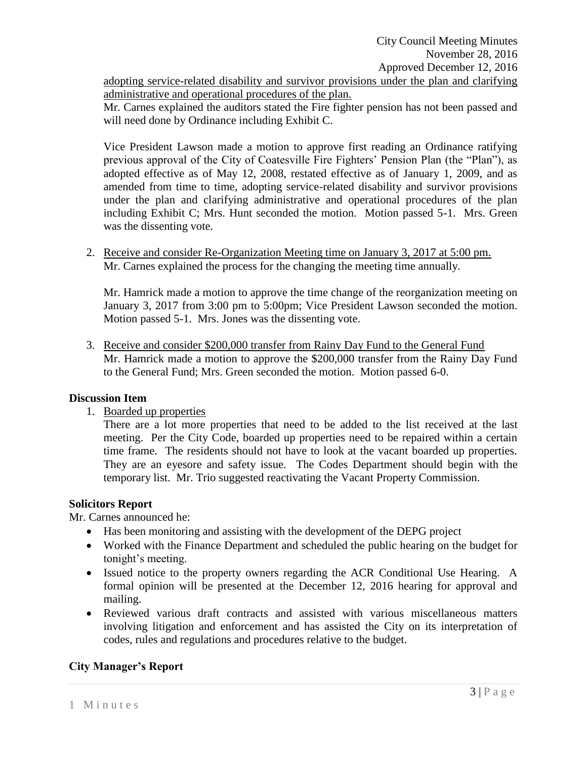adopting service-related disability and survivor provisions under the plan and clarifying administrative and operational procedures of the plan.

Mr. Carnes explained the auditors stated the Fire fighter pension has not been passed and will need done by Ordinance including Exhibit C.

Vice President Lawson made a motion to approve first reading an Ordinance ratifying previous approval of the City of Coatesville Fire Fighters' Pension Plan (the "Plan"), as adopted effective as of May 12, 2008, restated effective as of January 1, 2009, and as amended from time to time, adopting service-related disability and survivor provisions under the plan and clarifying administrative and operational procedures of the plan including Exhibit C; Mrs. Hunt seconded the motion. Motion passed 5-1. Mrs. Green was the dissenting vote.

2. Receive and consider Re-Organization Meeting time on January 3, 2017 at 5:00 pm. Mr. Carnes explained the process for the changing the meeting time annually.

Mr. Hamrick made a motion to approve the time change of the reorganization meeting on January 3, 2017 from 3:00 pm to 5:00pm; Vice President Lawson seconded the motion. Motion passed 5-1. Mrs. Jones was the dissenting vote.

3. Receive and consider \$200,000 transfer from Rainy Day Fund to the General Fund Mr. Hamrick made a motion to approve the \$200,000 transfer from the Rainy Day Fund to the General Fund; Mrs. Green seconded the motion. Motion passed 6-0.

### **Discussion Item**

1. Boarded up properties

There are a lot more properties that need to be added to the list received at the last meeting. Per the City Code, boarded up properties need to be repaired within a certain time frame. The residents should not have to look at the vacant boarded up properties. They are an eyesore and safety issue. The Codes Department should begin with the temporary list. Mr. Trio suggested reactivating the Vacant Property Commission.

### **Solicitors Report**

Mr. Carnes announced he:

- Has been monitoring and assisting with the development of the DEPG project
- Worked with the Finance Department and scheduled the public hearing on the budget for tonight's meeting.
- Issued notice to the property owners regarding the ACR Conditional Use Hearing. A formal opinion will be presented at the December 12, 2016 hearing for approval and mailing.
- Reviewed various draft contracts and assisted with various miscellaneous matters involving litigation and enforcement and has assisted the City on its interpretation of codes, rules and regulations and procedures relative to the budget.

# **City Manager's Report**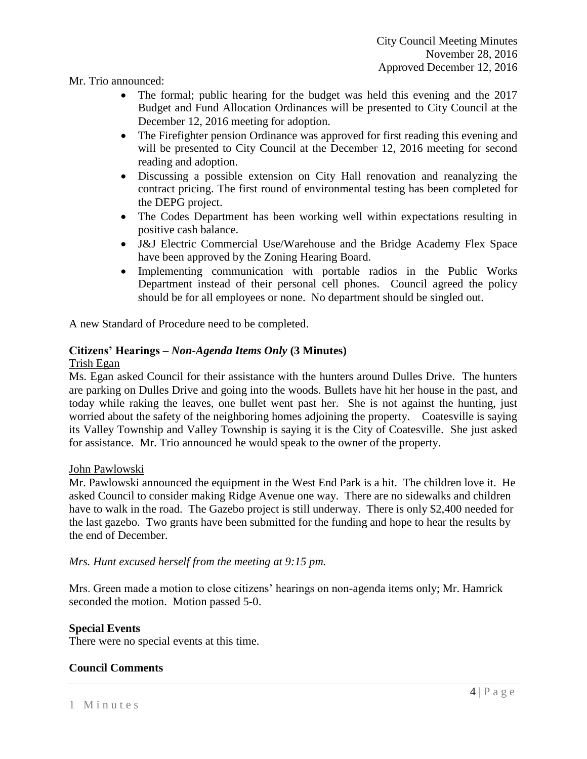Mr. Trio announced:

- The formal; public hearing for the budget was held this evening and the 2017 Budget and Fund Allocation Ordinances will be presented to City Council at the December 12, 2016 meeting for adoption.
- The Firefighter pension Ordinance was approved for first reading this evening and will be presented to City Council at the December 12, 2016 meeting for second reading and adoption.
- Discussing a possible extension on City Hall renovation and reanalyzing the contract pricing. The first round of environmental testing has been completed for the DEPG project.
- The Codes Department has been working well within expectations resulting in positive cash balance.
- J&J Electric Commercial Use/Warehouse and the Bridge Academy Flex Space have been approved by the Zoning Hearing Board.
- Implementing communication with portable radios in the Public Works Department instead of their personal cell phones. Council agreed the policy should be for all employees or none. No department should be singled out.

A new Standard of Procedure need to be completed.

# **Citizens' Hearings –** *Non-Agenda Items Only* **(3 Minutes)**

### Trish Egan

Ms. Egan asked Council for their assistance with the hunters around Dulles Drive. The hunters are parking on Dulles Drive and going into the woods. Bullets have hit her house in the past, and today while raking the leaves, one bullet went past her. She is not against the hunting, just worried about the safety of the neighboring homes adjoining the property. Coatesville is saying its Valley Township and Valley Township is saying it is the City of Coatesville. She just asked for assistance. Mr. Trio announced he would speak to the owner of the property.

### John Pawlowski

Mr. Pawlowski announced the equipment in the West End Park is a hit. The children love it. He asked Council to consider making Ridge Avenue one way. There are no sidewalks and children have to walk in the road. The Gazebo project is still underway. There is only \$2,400 needed for the last gazebo. Two grants have been submitted for the funding and hope to hear the results by the end of December.

### *Mrs. Hunt excused herself from the meeting at 9:15 pm.*

Mrs. Green made a motion to close citizens' hearings on non-agenda items only; Mr. Hamrick seconded the motion. Motion passed 5-0.

# **Special Events**

There were no special events at this time.

### **Council Comments**